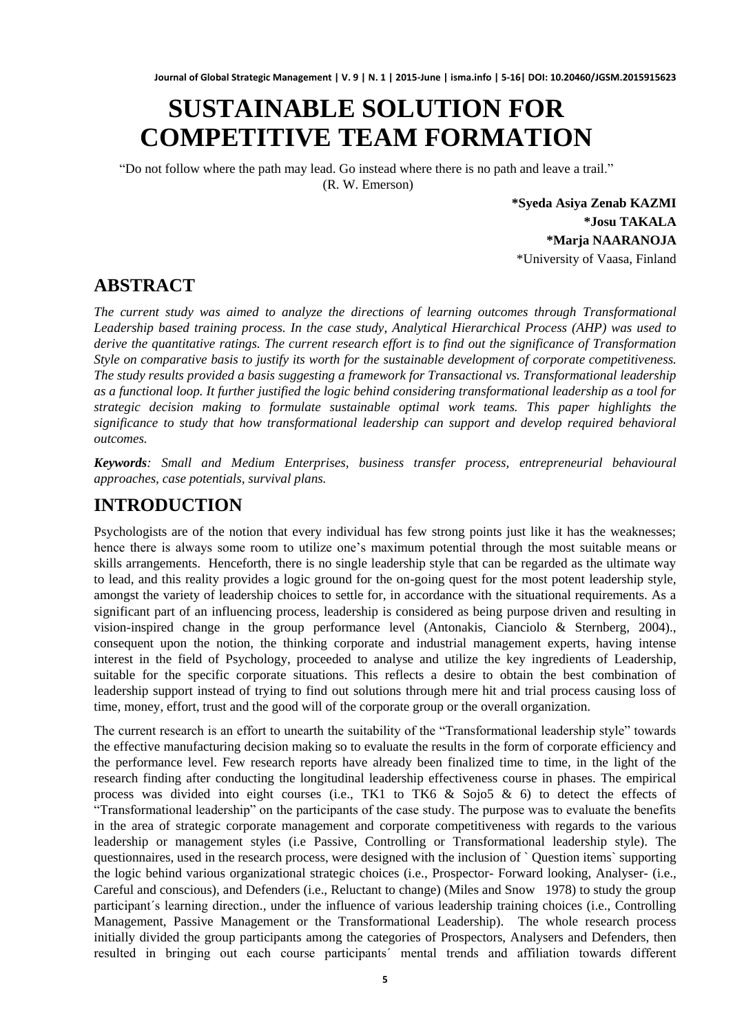# **SUSTAINABLE SOLUTION FOR COMPETITIVE TEAM FORMATION**

"Do not follow where the path may lead. Go instead where there is no path and leave a trail." (R. W. Emerson)

> **\*Syeda Asiya Zenab KAZMI \*Josu TAKALA \*Marja NAARANOJA** \*University of Vaasa, Finland

### **ABSTRACT**

*The current study was aimed to analyze the directions of learning outcomes through Transformational Leadership based training process. In the case study, Analytical Hierarchical Process (AHP) was used to derive the quantitative ratings. The current research effort is to find out the significance of Transformation Style on comparative basis to justify its worth for the sustainable development of corporate competitiveness. The study results provided a basis suggesting a framework for Transactional vs. Transformational leadership as a functional loop. It further justified the logic behind considering transformational leadership as a tool for strategic decision making to formulate sustainable optimal work teams. This paper highlights the significance to study that how transformational leadership can support and develop required behavioral outcomes.*

*Keywords: Small and Medium Enterprises, business transfer process, entrepreneurial behavioural approaches, case potentials, survival plans.*

# **INTRODUCTION**

Psychologists are of the notion that every individual has few strong points just like it has the weaknesses; hence there is always some room to utilize one's maximum potential through the most suitable means or skills arrangements. Henceforth, there is no single leadership style that can be regarded as the ultimate way to lead, and this reality provides a logic ground for the on-going quest for the most potent leadership style, amongst the variety of leadership choices to settle for, in accordance with the situational requirements. As a significant part of an influencing process, leadership is considered as being purpose driven and resulting in vision-inspired change in the group performance level (Antonakis, Cianciolo & Sternberg, 2004)., consequent upon the notion, the thinking corporate and industrial management experts, having intense interest in the field of Psychology, proceeded to analyse and utilize the key ingredients of Leadership, suitable for the specific corporate situations. This reflects a desire to obtain the best combination of leadership support instead of trying to find out solutions through mere hit and trial process causing loss of time, money, effort, trust and the good will of the corporate group or the overall organization.

The current research is an effort to unearth the suitability of the "Transformational leadership style" towards the effective manufacturing decision making so to evaluate the results in the form of corporate efficiency and the performance level. Few research reports have already been finalized time to time, in the light of the research finding after conducting the longitudinal leadership effectiveness course in phases. The empirical process was divided into eight courses (i.e., TK1 to TK6  $\&$  Sojo5  $\&$  6) to detect the effects of "Transformational leadership" on the participants of the case study. The purpose was to evaluate the benefits in the area of strategic corporate management and corporate competitiveness with regards to the various leadership or management styles (i.e Passive, Controlling or Transformational leadership style). The questionnaires, used in the research process, were designed with the inclusion of ` Question items` supporting the logic behind various organizational strategic choices (i.e., Prospector- Forward looking, Analyser- (i.e., Careful and conscious), and Defenders (i.e., Reluctant to change) (Miles and Snow 1978) to study the group participant´s learning direction., under the influence of various leadership training choices (i.e., Controlling Management, Passive Management or the Transformational Leadership). The whole research process initially divided the group participants among the categories of Prospectors, Analysers and Defenders, then resulted in bringing out each course participants´ mental trends and affiliation towards different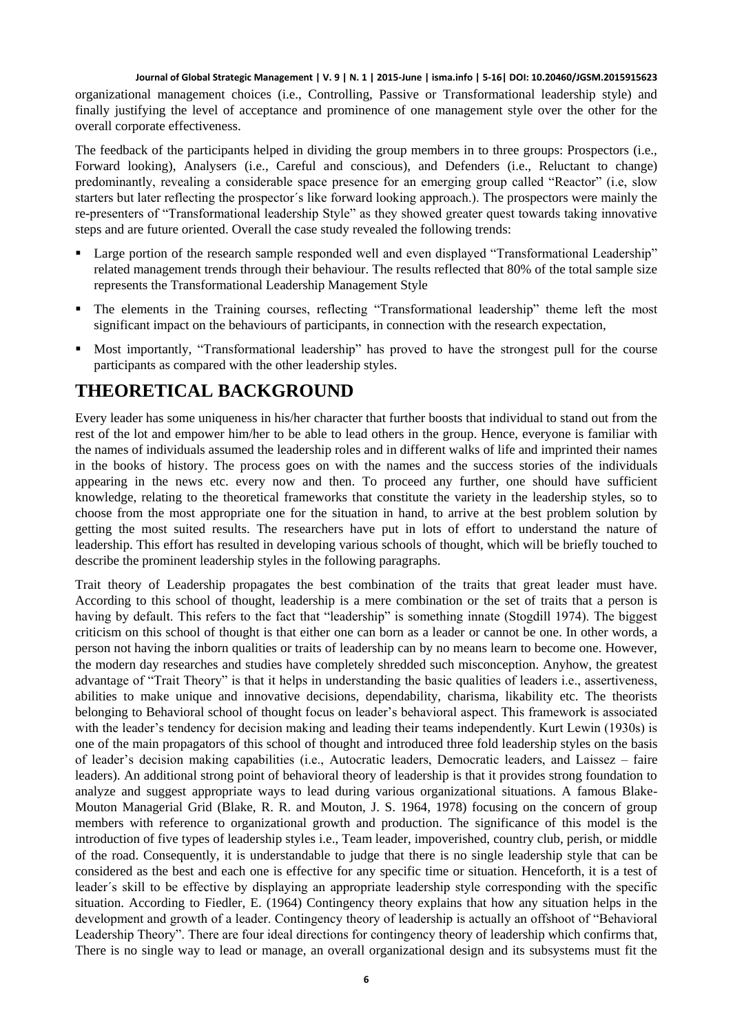organizational management choices (i.e., Controlling, Passive or Transformational leadership style) and finally justifying the level of acceptance and prominence of one management style over the other for the overall corporate effectiveness.

The feedback of the participants helped in dividing the group members in to three groups: Prospectors (i.e., Forward looking), Analysers (i.e., Careful and conscious), and Defenders (i.e., Reluctant to change) predominantly, revealing a considerable space presence for an emerging group called "Reactor" (i.e, slow starters but later reflecting the prospector´s like forward looking approach.). The prospectors were mainly the re-presenters of "Transformational leadership Style" as they showed greater quest towards taking innovative steps and are future oriented. Overall the case study revealed the following trends:

- **Large portion of the research sample responded well and even displayed "Transformational Leadership"** related management trends through their behaviour. The results reflected that 80% of the total sample size represents the Transformational Leadership Management Style
- The elements in the Training courses, reflecting "Transformational leadership" theme left the most significant impact on the behaviours of participants, in connection with the research expectation,
- Most importantly, "Transformational leadership" has proved to have the strongest pull for the course participants as compared with the other leadership styles.

### **THEORETICAL BACKGROUND**

Every leader has some uniqueness in his/her character that further boosts that individual to stand out from the rest of the lot and empower him/her to be able to lead others in the group. Hence, everyone is familiar with the names of individuals assumed the leadership roles and in different walks of life and imprinted their names in the books of history. The process goes on with the names and the success stories of the individuals appearing in the news etc. every now and then. To proceed any further, one should have sufficient knowledge, relating to the theoretical frameworks that constitute the variety in the leadership styles, so to choose from the most appropriate one for the situation in hand, to arrive at the best problem solution by getting the most suited results. The researchers have put in lots of effort to understand the nature of leadership. This effort has resulted in developing various schools of thought, which will be briefly touched to describe the prominent leadership styles in the following paragraphs.

Trait theory of Leadership propagates the best combination of the traits that great leader must have. According to this school of thought, leadership is a mere combination or the set of traits that a person is having by default. This refers to the fact that "leadership" is something innate (Stogdill 1974). The biggest criticism on this school of thought is that either one can born as a leader or cannot be one. In other words, a person not having the inborn qualities or traits of leadership can by no means learn to become one. However, the modern day researches and studies have completely shredded such misconception. Anyhow, the greatest advantage of "Trait Theory" is that it helps in understanding the basic qualities of leaders i.e., assertiveness, abilities to make unique and innovative decisions, dependability, charisma, likability etc. The theorists belonging to Behavioral school of thought focus on leader's behavioral aspect. This framework is associated with the leader's tendency for decision making and leading their teams independently. Kurt Lewin (1930s) is one of the main propagators of this school of thought and introduced three fold leadership styles on the basis of leader's decision making capabilities (i.e., Autocratic leaders, Democratic leaders, and Laissez – faire leaders). An additional strong point of behavioral theory of leadership is that it provides strong foundation to analyze and suggest appropriate ways to lead during various organizational situations. A famous Blake-Mouton Managerial Grid (Blake, R. R. and Mouton, J. S. 1964, 1978) focusing on the concern of group members with reference to organizational growth and production. The significance of this model is the introduction of five types of leadership styles i.e., Team leader, impoverished, country club, perish, or middle of the road. Consequently, it is understandable to judge that there is no single leadership style that can be considered as the best and each one is effective for any specific time or situation. Henceforth, it is a test of leader´s skill to be effective by displaying an appropriate leadership style corresponding with the specific situation. According to Fiedler, E. (1964) Contingency theory explains that how any situation helps in the development and growth of a leader. Contingency theory of leadership is actually an offshoot of "Behavioral Leadership Theory". There are four ideal directions for contingency theory of leadership which confirms that, There is no single way to lead or manage, an overall organizational design and its subsystems must fit the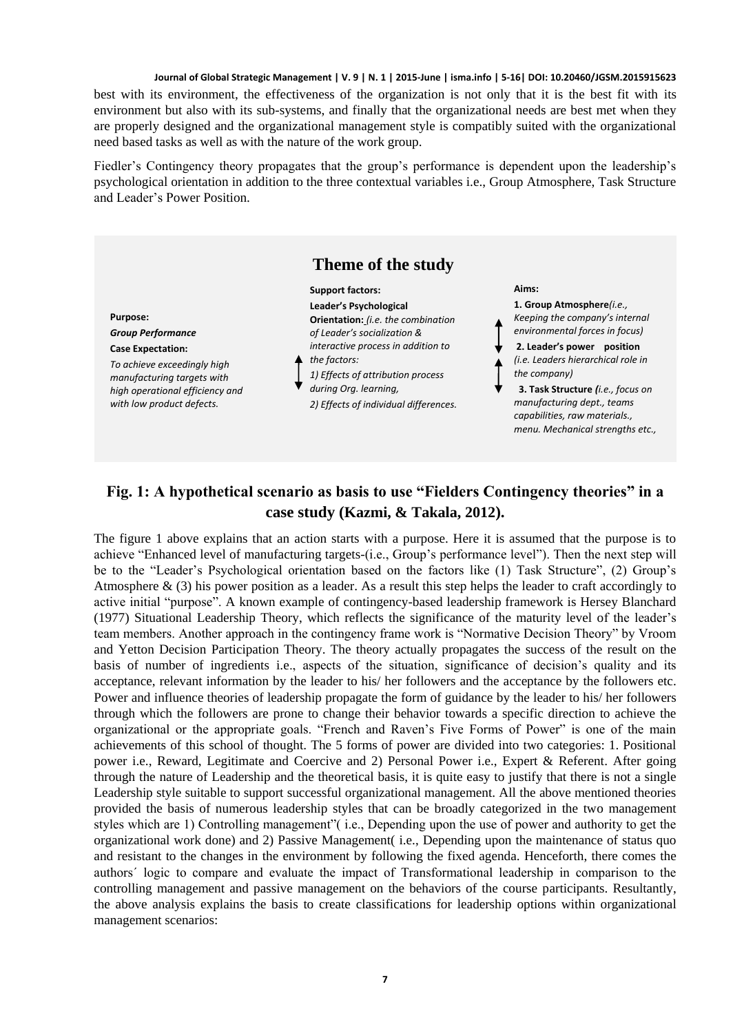best with its environment, the effectiveness of the organization is not only that it is the best fit with its environment but also with its sub-systems, and finally that the organizational needs are best met when they are properly designed and the organizational management style is compatibly suited with the organizational need based tasks as well as with the nature of the work group.

Fiedler's Contingency theory propagates that the group's performance is dependent upon the leadership's psychological orientation in addition to the three contextual variables i.e., Group Atmosphere, Task Structure and Leader's Power Position.



### **Fig. 1: A hypothetical scenario as basis to use "Fielders Contingency theories" in a case study (Kazmi, & Takala, 2012).**

The figure 1 above explains that an action starts with a purpose. Here it is assumed that the purpose is to achieve "Enhanced level of manufacturing targets-(i.e., Group's performance level"). Then the next step will be to the "Leader's Psychological orientation based on the factors like (1) Task Structure", (2) Group's Atmosphere  $\&$  (3) his power position as a leader. As a result this step helps the leader to craft accordingly to active initial "purpose". A known example of contingency-based leadership framework is Hersey Blanchard (1977) Situational Leadership Theory, which reflects the significance of the maturity level of the leader's team members. Another approach in the contingency frame work is "Normative Decision Theory" by Vroom and Yetton Decision Participation Theory. The theory actually propagates the success of the result on the basis of number of ingredients i.e., aspects of the situation, significance of decision's quality and its acceptance, relevant information by the leader to his/ her followers and the acceptance by the followers etc. Power and influence theories of leadership propagate the form of guidance by the leader to his/ her followers through which the followers are prone to change their behavior towards a specific direction to achieve the organizational or the appropriate goals. "French and Raven's Five Forms of Power" is one of the main achievements of this school of thought. The 5 forms of power are divided into two categories: 1. Positional power i.e., Reward, Legitimate and Coercive and 2) Personal Power i.e., Expert & Referent. After going through the nature of Leadership and the theoretical basis, it is quite easy to justify that there is not a single Leadership style suitable to support successful organizational management. All the above mentioned theories provided the basis of numerous leadership styles that can be broadly categorized in the two management styles which are 1) Controlling management"( i.e., Depending upon the use of power and authority to get the organizational work done) and 2) Passive Management( i.e., Depending upon the maintenance of status quo and resistant to the changes in the environment by following the fixed agenda. Henceforth, there comes the authors´ logic to compare and evaluate the impact of Transformational leadership in comparison to the controlling management and passive management on the behaviors of the course participants. Resultantly, the above analysis explains the basis to create classifications for leadership options within organizational management scenarios: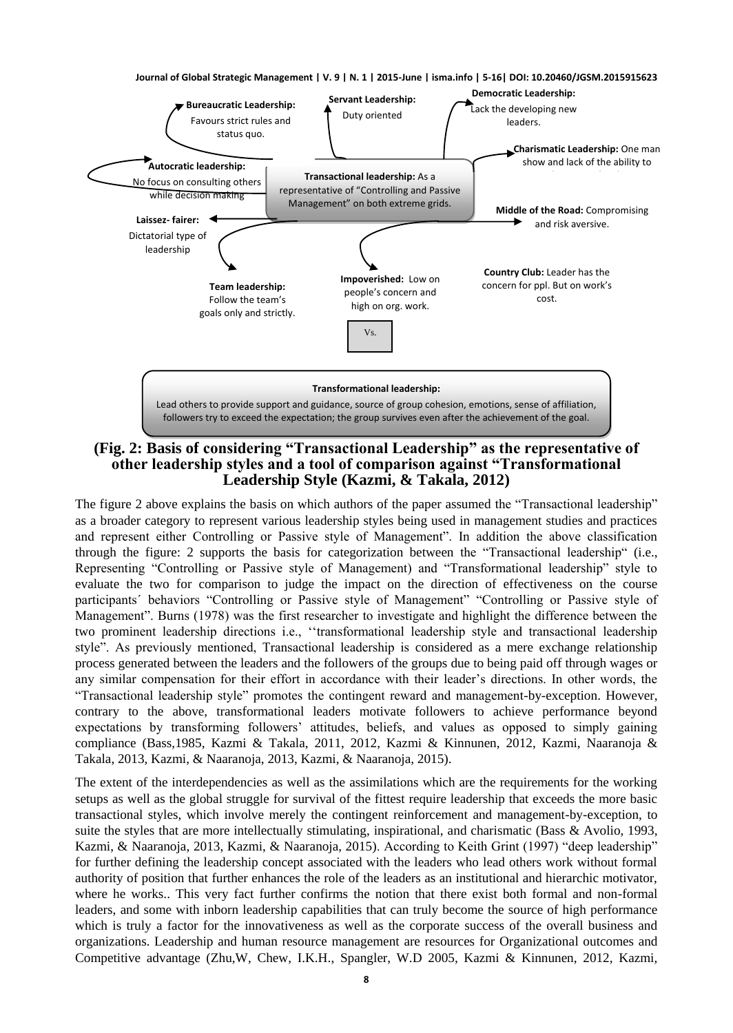

**(Fig. 2: Basis of considering "Transactional Leadership" as the representative of other leadership styles and a tool of comparison against "Transformational Leadership Style (Kazmi, & Takala, 2012)**

The figure 2 above explains the basis on which authors of the paper assumed the "Transactional leadership" as a broader category to represent various leadership styles being used in management studies and practices and represent either Controlling or Passive style of Management". In addition the above classification through the figure: 2 supports the basis for categorization between the "Transactional leadership" (i.e., Representing "Controlling or Passive style of Management) and "Transformational leadership" style to evaluate the two for comparison to judge the impact on the direction of effectiveness on the course participants´ behaviors "Controlling or Passive style of Management" "Controlling or Passive style of Management". Burns (1978) was the first researcher to investigate and highlight the difference between the two prominent leadership directions i.e., ''transformational leadership style and transactional leadership style". As previously mentioned, Transactional leadership is considered as a mere exchange relationship process generated between the leaders and the followers of the groups due to being paid off through wages or any similar compensation for their effort in accordance with their leader's directions. In other words, the "Transactional leadership style" promotes the contingent reward and management-by-exception. However, contrary to the above, transformational leaders motivate followers to achieve performance beyond expectations by transforming followers' attitudes, beliefs, and values as opposed to simply gaining compliance (Bass,1985, Kazmi & Takala, 2011, 2012, Kazmi & Kinnunen, 2012, Kazmi, Naaranoja & Takala, 2013, Kazmi, & Naaranoja, 2013, Kazmi, & Naaranoja, 2015).

The extent of the interdependencies as well as the assimilations which are the requirements for the working setups as well as the global struggle for survival of the fittest require leadership that exceeds the more basic transactional styles, which involve merely the contingent reinforcement and management-by-exception, to suite the styles that are more intellectually stimulating, inspirational, and charismatic (Bass & Avolio, 1993, Kazmi, & Naaranoja, 2013, Kazmi, & Naaranoja, 2015). According to Keith Grint (1997) "deep leadership" for further defining the leadership concept associated with the leaders who lead others work without formal authority of position that further enhances the role of the leaders as an institutional and hierarchic motivator, where he works.. This very fact further confirms the notion that there exist both formal and non-formal leaders, and some with inborn leadership capabilities that can truly become the source of high performance which is truly a factor for the innovativeness as well as the corporate success of the overall business and organizations. Leadership and human resource management are resources for Organizational outcomes and Competitive advantage (Zhu,W, Chew, I.K.H., Spangler, W.D 2005, Kazmi & Kinnunen, 2012, Kazmi,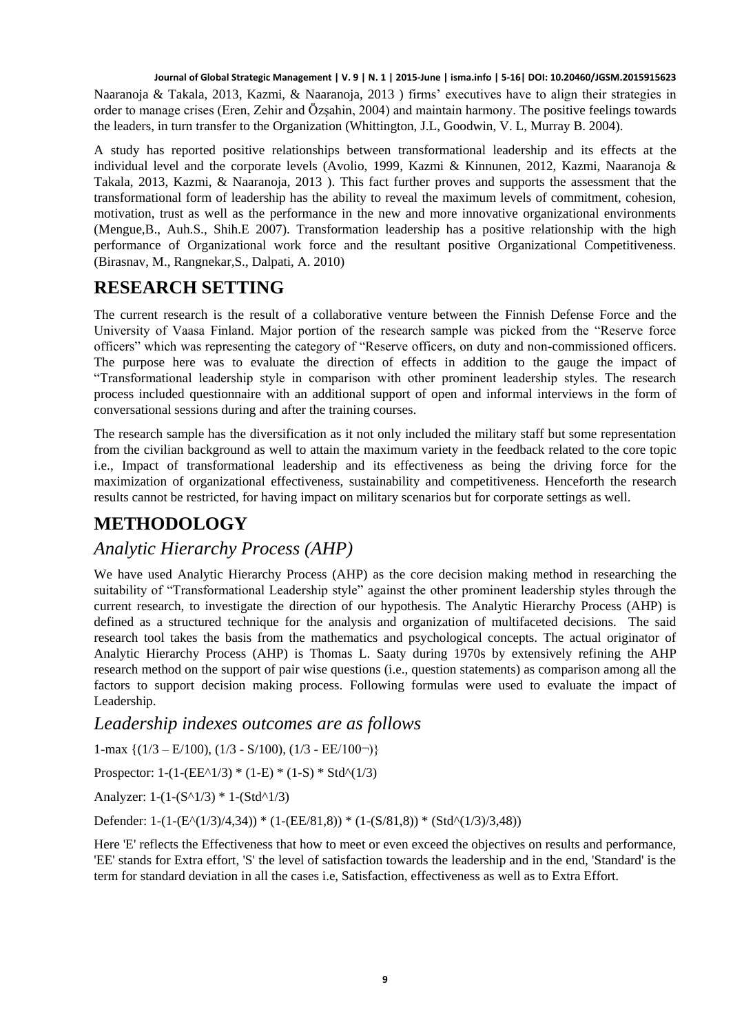Naaranoja & Takala, 2013, Kazmi, & Naaranoja, 2013 ) firms' executives have to align their strategies in order to manage crises (Eren, Zehir and Özşahin, 2004) and maintain harmony. The positive feelings towards the leaders, in turn transfer to the Organization (Whittington, J.L, Goodwin, V. L, Murray B. 2004).

A study has reported positive relationships between transformational leadership and its effects at the individual level and the corporate levels (Avolio, 1999, Kazmi & Kinnunen, 2012, Kazmi, Naaranoja & Takala, 2013, Kazmi, & Naaranoja, 2013 ). This fact further proves and supports the assessment that the transformational form of leadership has the ability to reveal the maximum levels of commitment, cohesion, motivation, trust as well as the performance in the new and more innovative organizational environments (Mengue,B., Auh.S., Shih.E 2007). Transformation leadership has a positive relationship with the high performance of Organizational work force and the resultant positive Organizational Competitiveness. (Birasnav, M., Rangnekar,S., Dalpati, A. 2010)

# **RESEARCH SETTING**

The current research is the result of a collaborative venture between the Finnish Defense Force and the University of Vaasa Finland. Major portion of the research sample was picked from the "Reserve force officers" which was representing the category of "Reserve officers, on duty and non-commissioned officers. The purpose here was to evaluate the direction of effects in addition to the gauge the impact of "Transformational leadership style in comparison with other prominent leadership styles. The research process included questionnaire with an additional support of open and informal interviews in the form of conversational sessions during and after the training courses.

The research sample has the diversification as it not only included the military staff but some representation from the civilian background as well to attain the maximum variety in the feedback related to the core topic i.e., Impact of transformational leadership and its effectiveness as being the driving force for the maximization of organizational effectiveness, sustainability and competitiveness. Henceforth the research results cannot be restricted, for having impact on military scenarios but for corporate settings as well.

# **METHODOLOGY**

### *Analytic Hierarchy Process (AHP)*

We have used Analytic Hierarchy Process (AHP) as the core decision making method in researching the suitability of "Transformational Leadership style" against the other prominent leadership styles through the current research, to investigate the direction of our hypothesis. The Analytic Hierarchy Process (AHP) is defined as a structured technique for the analysis and organization of multifaceted decisions. The said research tool takes the basis from the mathematics and psychological concepts. The actual originator of Analytic Hierarchy Process (AHP) is Thomas L. Saaty during 1970s by extensively refining the AHP research method on the support of pair wise questions (i.e., question statements) as comparison among all the factors to support decision making process. Following formulas were used to evaluate the impact of Leadership.

### *Leadership indexes outcomes are as follows*

1-max  $\{(1/3 - E/100), (1/3 - S/100), (1/3 - EE/100))\}$ 

Prospector:  $1-(1-(EE^1/3)*(1-E)*(1-S)*Std^1/3)$ 

Analyzer: 1-(1-(S^1/3) \* 1-(Std^1/3)

Defender: 1-(1-(E^(1/3)/4,34)) \* (1-(EE/81,8)) \* (1-(S/81,8)) \* (Std^(1/3)/3,48))

Here 'E' reflects the Effectiveness that how to meet or even exceed the objectives on results and performance, 'EE' stands for Extra effort, 'S' the level of satisfaction towards the leadership and in the end, 'Standard' is the term for standard deviation in all the cases i.e, Satisfaction, effectiveness as well as to Extra Effort.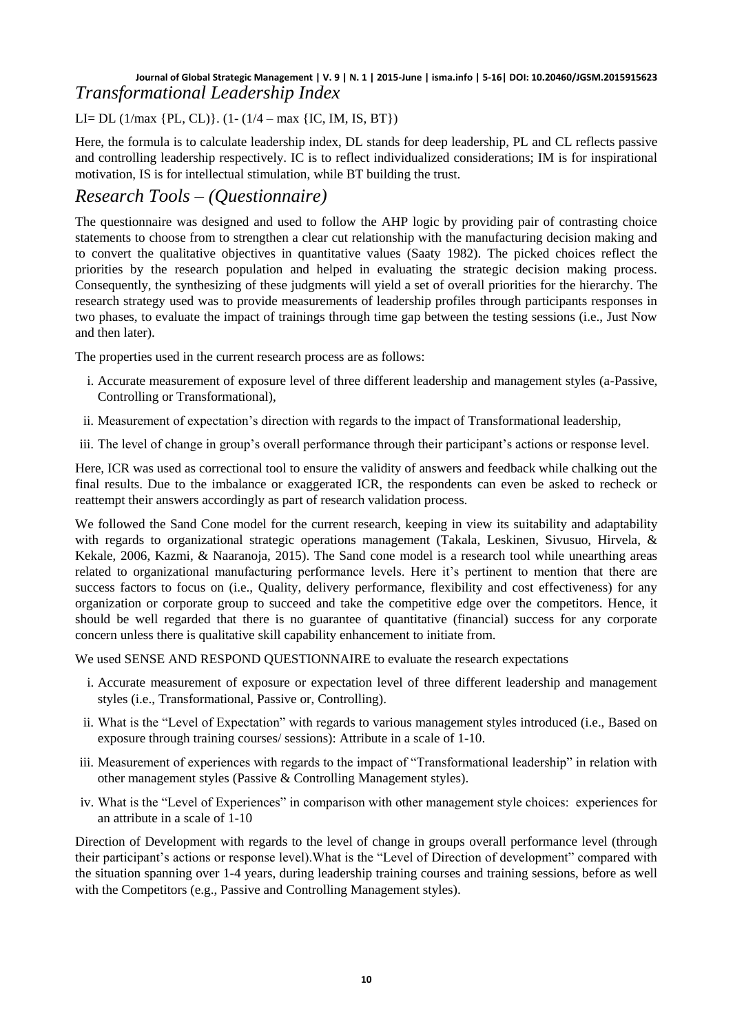### **Journal of Global Strategic Management | V. 9 | N. 1 | 2015-June | isma.info | 5-16| DOI: 10.20460/JGSM.2015915623** *Transformational Leadership Index*

LI= DL (1/max {PL, CL)}. (1- (1/4 – max {IC, IM, IS, BT})

Here, the formula is to calculate leadership index, DL stands for deep leadership, PL and CL reflects passive and controlling leadership respectively. IC is to reflect individualized considerations; IM is for inspirational motivation, IS is for intellectual stimulation, while BT building the trust.

# *Research Tools – (Questionnaire)*

The questionnaire was designed and used to follow the AHP logic by providing pair of contrasting choice statements to choose from to strengthen a clear cut relationship with the manufacturing decision making and to convert the qualitative objectives in quantitative values (Saaty 1982). The picked choices reflect the priorities by the research population and helped in evaluating the strategic decision making process. Consequently, the synthesizing of these judgments will yield a set of overall priorities for the hierarchy. The research strategy used was to provide measurements of leadership profiles through participants responses in two phases, to evaluate the impact of trainings through time gap between the testing sessions (i.e., Just Now and then later).

The properties used in the current research process are as follows:

- i. Accurate measurement of exposure level of three different leadership and management styles (a-Passive, Controlling or Transformational),
- ii. Measurement of expectation's direction with regards to the impact of Transformational leadership,
- iii. The level of change in group's overall performance through their participant's actions or response level.

Here, ICR was used as correctional tool to ensure the validity of answers and feedback while chalking out the final results. Due to the imbalance or exaggerated ICR, the respondents can even be asked to recheck or reattempt their answers accordingly as part of research validation process.

We followed the Sand Cone model for the current research, keeping in view its suitability and adaptability with regards to organizational strategic operations management (Takala, Leskinen, Sivusuo, Hirvela, & Kekale, 2006, Kazmi, & Naaranoja, 2015). The Sand cone model is a research tool while unearthing areas related to organizational manufacturing performance levels. Here it's pertinent to mention that there are success factors to focus on (i.e., Quality, delivery performance, flexibility and cost effectiveness) for any organization or corporate group to succeed and take the competitive edge over the competitors. Hence, it should be well regarded that there is no guarantee of quantitative (financial) success for any corporate concern unless there is qualitative skill capability enhancement to initiate from.

We used SENSE AND RESPOND QUESTIONNAIRE to evaluate the research expectations

- i. Accurate measurement of exposure or expectation level of three different leadership and management styles (i.e., Transformational, Passive or, Controlling).
- ii. What is the "Level of Expectation" with regards to various management styles introduced (i.e., Based on exposure through training courses/ sessions): Attribute in a scale of 1-10.
- iii. Measurement of experiences with regards to the impact of "Transformational leadership" in relation with other management styles (Passive & Controlling Management styles).
- iv. What is the "Level of Experiences" in comparison with other management style choices: experiences for an attribute in a scale of 1-10

Direction of Development with regards to the level of change in groups overall performance level (through their participant's actions or response level).What is the "Level of Direction of development" compared with the situation spanning over 1-4 years, during leadership training courses and training sessions, before as well with the Competitors (e.g., Passive and Controlling Management styles).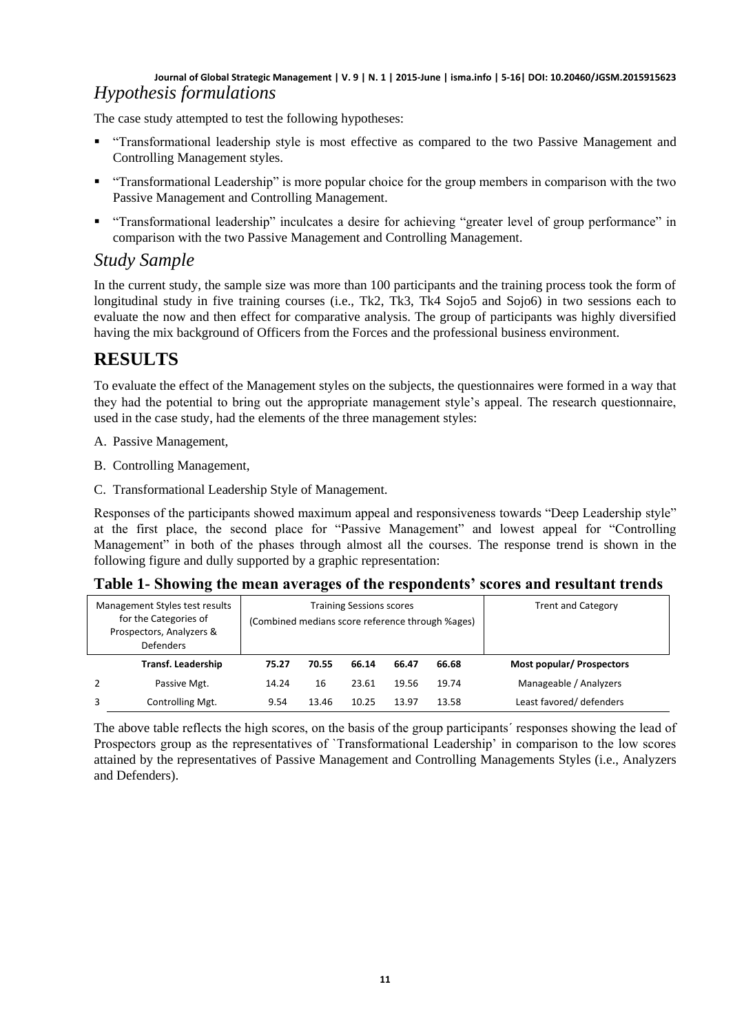### **Journal of Global Strategic Management | V. 9 | N. 1 | 2015-June | isma.info | 5-16| DOI: 10.20460/JGSM.2015915623** *Hypothesis formulations*

The case study attempted to test the following hypotheses:

- "Transformational leadership style is most effective as compared to the two Passive Management and Controlling Management styles.
- "Transformational Leadership" is more popular choice for the group members in comparison with the two Passive Management and Controlling Management.
- "Transformational leadership" inculcates a desire for achieving "greater level of group performance" in comparison with the two Passive Management and Controlling Management.

### *Study Sample*

In the current study, the sample size was more than 100 participants and the training process took the form of longitudinal study in five training courses (i.e., Tk2, Tk3, Tk4 Sojo5 and Sojo6) in two sessions each to evaluate the now and then effect for comparative analysis. The group of participants was highly diversified having the mix background of Officers from the Forces and the professional business environment.

# **RESULTS**

To evaluate the effect of the Management styles on the subjects, the questionnaires were formed in a way that they had the potential to bring out the appropriate management style's appeal. The research questionnaire, used in the case study, had the elements of the three management styles:

- A. Passive Management,
- B. Controlling Management,
- C. Transformational Leadership Style of Management.

Responses of the participants showed maximum appeal and responsiveness towards "Deep Leadership style" at the first place, the second place for "Passive Management" and lowest appeal for "Controlling Management" in both of the phases through almost all the courses. The response trend is shown in the following figure and dully supported by a graphic representation:

### **Table 1- Showing the mean averages of the respondents' scores and resultant trends**

| Management Styles test results<br>for the Categories of<br>Prospectors, Analyzers &<br><b>Defenders</b> |                           | <b>Training Sessions scores</b><br>(Combined medians score reference through %ages) |       |       |       |       | <b>Trent and Category</b>        |  |
|---------------------------------------------------------------------------------------------------------|---------------------------|-------------------------------------------------------------------------------------|-------|-------|-------|-------|----------------------------------|--|
|                                                                                                         | <b>Transf. Leadership</b> | 75.27                                                                               | 70.55 | 66.14 | 66.47 | 66.68 | <b>Most popular/ Prospectors</b> |  |
| 2                                                                                                       | Passive Mgt.              | 14.24                                                                               | 16    | 23.61 | 19.56 | 19.74 | Manageable / Analyzers           |  |
|                                                                                                         | Controlling Mgt.          | 9.54                                                                                | 13.46 | 10.25 | 13.97 | 13.58 | Least favored/ defenders         |  |

The above table reflects the high scores, on the basis of the group participants´ responses showing the lead of Prospectors group as the representatives of `Transformational Leadership' in comparison to the low scores attained by the representatives of Passive Management and Controlling Managements Styles (i.e., Analyzers and Defenders).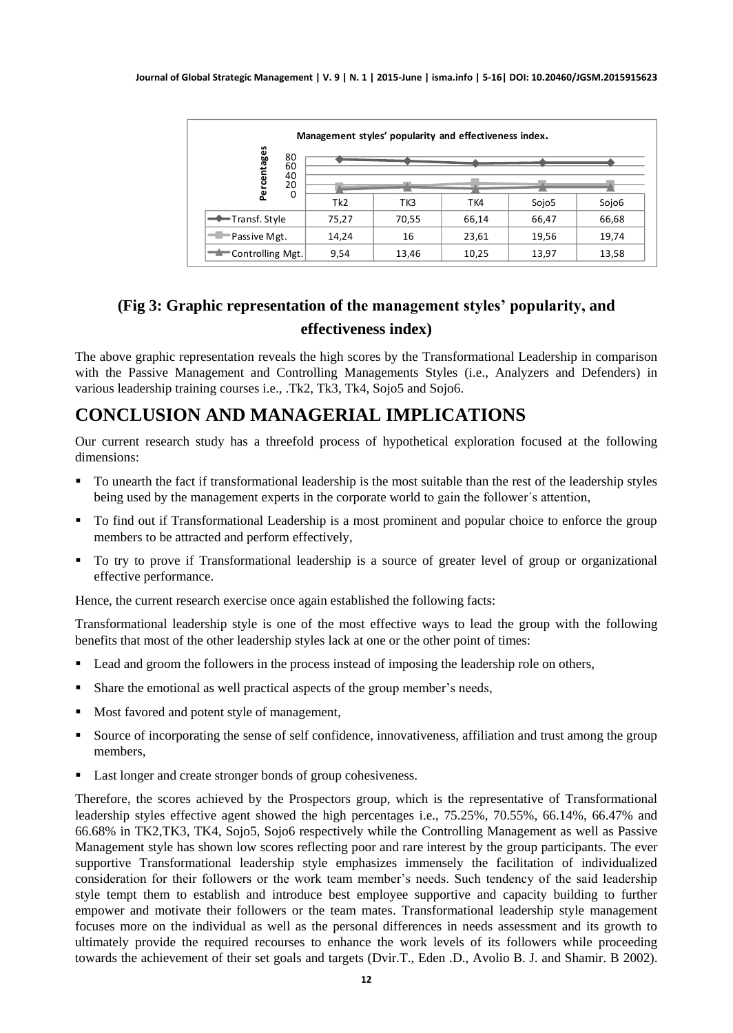|                      | Management styles' popularity and effectiveness index. |       |       |                   |       |  |  |  |
|----------------------|--------------------------------------------------------|-------|-------|-------------------|-------|--|--|--|
| centages<br>80<br>60 |                                                        |       |       |                   |       |  |  |  |
| 40<br>20<br>ěr       |                                                        |       |       |                   |       |  |  |  |
| 0                    | Tk <sub>2</sub>                                        | TK3   | TK4   | Sojo <sub>5</sub> | Sojo6 |  |  |  |
| Transf. Style        | 75,27                                                  | 70,55 | 66,14 | 66,47             | 66,68 |  |  |  |
| Passive Mgt.         | 14,24                                                  | 16    | 23,61 | 19,56             | 19,74 |  |  |  |
| Controlling Mgt.     | 9,54                                                   | 13,46 | 10,25 | 13,97             | 13,58 |  |  |  |

# **(Fig 3: Graphic representation of the management styles' popularity, and effectiveness index)**

The above graphic representation reveals the high scores by the Transformational Leadership in comparison with the Passive Management and Controlling Managements Styles (i.e., Analyzers and Defenders) in various leadership training courses i.e., .Tk2, Tk3, Tk4, Sojo5 and Sojo6.

# **CONCLUSION AND MANAGERIAL IMPLICATIONS**

Our current research study has a threefold process of hypothetical exploration focused at the following dimensions:

- To unearth the fact if transformational leadership is the most suitable than the rest of the leadership styles being used by the management experts in the corporate world to gain the follower's attention,
- To find out if Transformational Leadership is a most prominent and popular choice to enforce the group members to be attracted and perform effectively,
- To try to prove if Transformational leadership is a source of greater level of group or organizational effective performance.

Hence, the current research exercise once again established the following facts:

Transformational leadership style is one of the most effective ways to lead the group with the following benefits that most of the other leadership styles lack at one or the other point of times:

- Lead and groom the followers in the process instead of imposing the leadership role on others,
- Share the emotional as well practical aspects of the group member's needs,
- Most favored and potent style of management,
- Source of incorporating the sense of self confidence, innovativeness, affiliation and trust among the group members,
- Last longer and create stronger bonds of group cohesiveness.

Therefore, the scores achieved by the Prospectors group, which is the representative of Transformational leadership styles effective agent showed the high percentages i.e., 75.25%, 70.55%, 66.14%, 66.47% and 66.68% in TK2,TK3, TK4, Sojo5, Sojo6 respectively while the Controlling Management as well as Passive Management style has shown low scores reflecting poor and rare interest by the group participants. The ever supportive Transformational leadership style emphasizes immensely the facilitation of individualized consideration for their followers or the work team member's needs. Such tendency of the said leadership style tempt them to establish and introduce best employee supportive and capacity building to further empower and motivate their followers or the team mates. Transformational leadership style management focuses more on the individual as well as the personal differences in needs assessment and its growth to ultimately provide the required recourses to enhance the work levels of its followers while proceeding towards the achievement of their set goals and targets (Dvir.T., Eden .D., Avolio B. J. and Shamir. B 2002).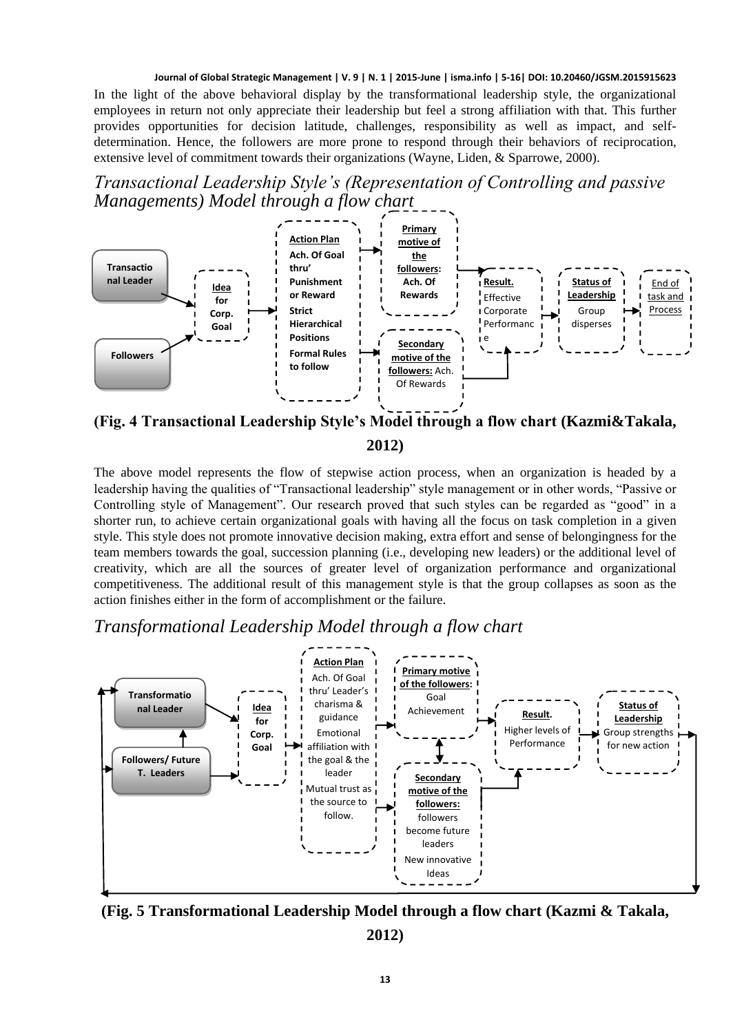In the light of the above behavioral display by the transformational leadership style, the organizational employees in return not only appreciate their leadership but feel a strong affiliation with that. This further provides opportunities for decision latitude, challenges, responsibility as well as impact, and selfdetermination. Hence, the followers are more prone to respond through their behaviors of reciprocation, extensive level of commitment towards their organizations (Wayne, Liden, & Sparrowe, 2000).

*Transactional Leadership Style's (Representation of Controlling and passive Managements) Model through a flow chart*



**(Fig. 4 Transactional Leadership Style's Model through a flow chart (Kazmi&Takala, 2012)**

The above model represents the flow of stepwise action process, when an organization is headed by a leadership having the qualities of "Transactional leadership" style management or in other words, "Passive or Controlling style of Management". Our research proved that such styles can be regarded as "good" in a shorter run, to achieve certain organizational goals with having all the focus on task completion in a given style. This style does not promote innovative decision making, extra effort and sense of belongingness for the team members towards the goal, succession planning (i.e., developing new leaders) or the additional level of creativity, which are all the sources of greater level of organization performance and organizational competitiveness. The additional result of this management style is that the group collapses as soon as the action finishes either in the form of accomplishment or the failure.

### *Transformational Leadership Model through a flow chart*



**(Fig. 5 Transformational Leadership Model through a flow chart (Kazmi & Takala, 2012)**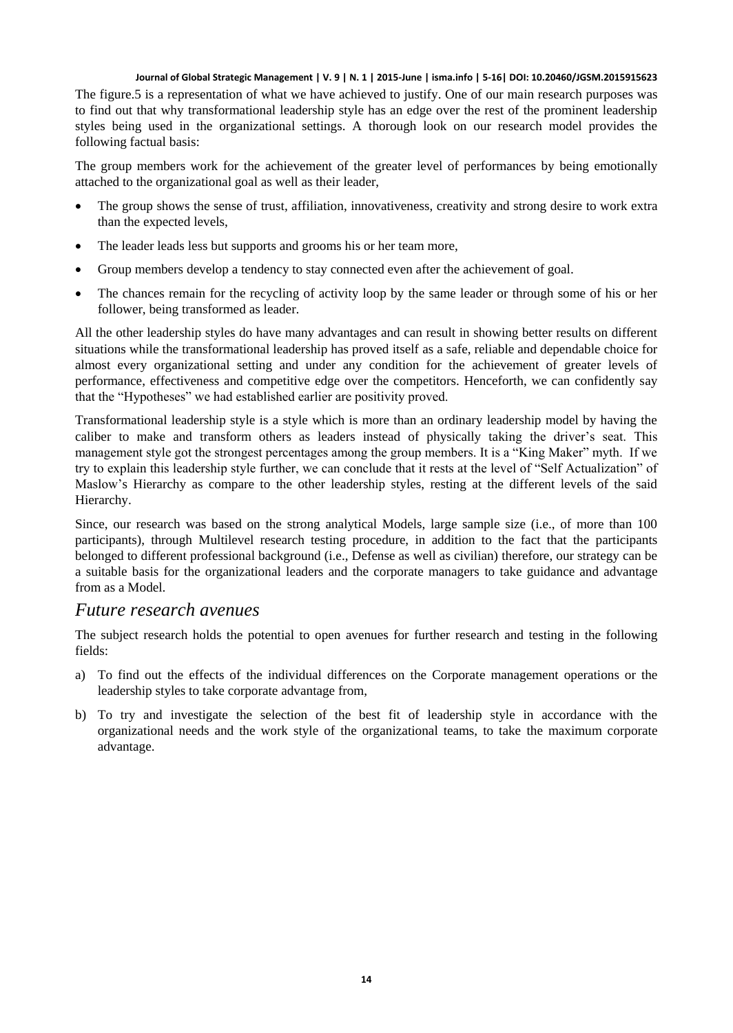The figure.5 is a representation of what we have achieved to justify. One of our main research purposes was to find out that why transformational leadership style has an edge over the rest of the prominent leadership styles being used in the organizational settings. A thorough look on our research model provides the following factual basis:

The group members work for the achievement of the greater level of performances by being emotionally attached to the organizational goal as well as their leader,

- The group shows the sense of trust, affiliation, innovativeness, creativity and strong desire to work extra than the expected levels,
- The leader leads less but supports and grooms his or her team more,
- Group members develop a tendency to stay connected even after the achievement of goal.
- The chances remain for the recycling of activity loop by the same leader or through some of his or her follower, being transformed as leader.

All the other leadership styles do have many advantages and can result in showing better results on different situations while the transformational leadership has proved itself as a safe, reliable and dependable choice for almost every organizational setting and under any condition for the achievement of greater levels of performance, effectiveness and competitive edge over the competitors. Henceforth, we can confidently say that the "Hypotheses" we had established earlier are positivity proved.

Transformational leadership style is a style which is more than an ordinary leadership model by having the caliber to make and transform others as leaders instead of physically taking the driver's seat. This management style got the strongest percentages among the group members. It is a "King Maker" myth. If we try to explain this leadership style further, we can conclude that it rests at the level of "Self Actualization" of Maslow's Hierarchy as compare to the other leadership styles, resting at the different levels of the said Hierarchy.

Since, our research was based on the strong analytical Models, large sample size (i.e., of more than 100 participants), through Multilevel research testing procedure, in addition to the fact that the participants belonged to different professional background (i.e., Defense as well as civilian) therefore, our strategy can be a suitable basis for the organizational leaders and the corporate managers to take guidance and advantage from as a Model.

### *Future research avenues*

The subject research holds the potential to open avenues for further research and testing in the following fields:

- a) To find out the effects of the individual differences on the Corporate management operations or the leadership styles to take corporate advantage from,
- b) To try and investigate the selection of the best fit of leadership style in accordance with the organizational needs and the work style of the organizational teams, to take the maximum corporate advantage.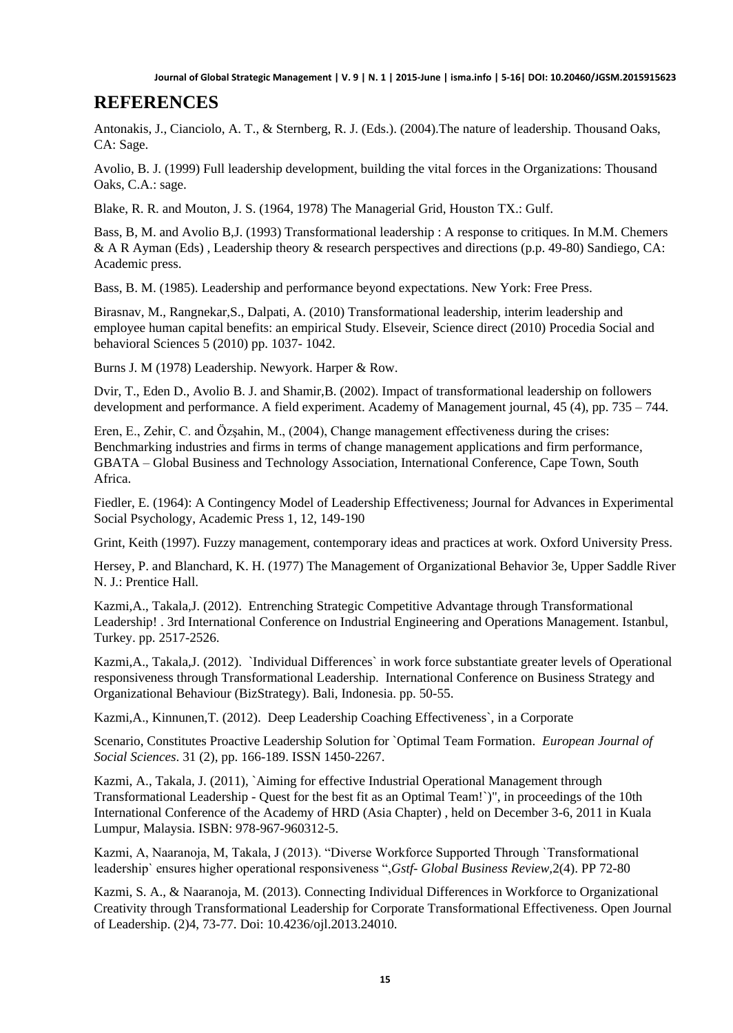### **REFERENCES**

Antonakis, J., Cianciolo, A. T., & Sternberg, R. J. (Eds.). (2004).The nature of leadership. Thousand Oaks, CA: Sage.

Avolio, B. J. (1999) Full leadership development, building the vital forces in the Organizations: Thousand Oaks, C.A.: sage.

Blake, R. R. and Mouton, J. S. (1964, 1978) The Managerial Grid, Houston TX.: Gulf.

Bass, B, M. and Avolio B,J. (1993) Transformational leadership : A response to critiques. In M.M. Chemers & A R Ayman (Eds) , Leadership theory & research perspectives and directions (p.p. 49-80) Sandiego, CA: Academic press.

Bass, B. M. (1985). Leadership and performance beyond expectations. New York: Free Press.

Birasnav, M., Rangnekar,S., Dalpati, A. (2010) Transformational leadership, interim leadership and employee human capital benefits: an empirical Study. Elseveir, Science direct (2010) Procedia Social and behavioral Sciences 5 (2010) pp. 1037- 1042.

Burns J. M (1978) Leadership. Newyork. Harper & Row.

Dvir, T., Eden D., Avolio B. J. and Shamir,B. (2002). Impact of transformational leadership on followers development and performance. A field experiment. Academy of Management journal, 45 (4), pp. 735 – 744.

Eren, E., Zehir, C. and Özşahin, M., (2004), Change management effectiveness during the crises: Benchmarking industries and firms in terms of change management applications and firm performance, GBATA – Global Business and Technology Association, International Conference, Cape Town, South Africa.

Fiedler, E. (1964): A Contingency Model of Leadership Effectiveness; Journal for Advances in Experimental Social Psychology, Academic Press 1, 12, 149-190

Grint, Keith (1997). Fuzzy management, contemporary ideas and practices at work. Oxford University Press.

Hersey, P. and Blanchard, K. H. (1977) The Management of Organizational Behavior 3e, Upper Saddle River N. J.: Prentice Hall.

Kazmi,A., Takala,J. (2012). Entrenching Strategic Competitive Advantage through Transformational Leadership! . 3rd International Conference on Industrial Engineering and Operations Management. Istanbul, Turkey. pp. 2517-2526.

Kazmi,A., Takala,J. (2012). `Individual Differences` in work force substantiate greater levels of Operational responsiveness through Transformational Leadership. International Conference on Business Strategy and Organizational Behaviour (BizStrategy). Bali, Indonesia. pp. 50-55.

Kazmi,A., Kinnunen,T. (2012). Deep Leadership Coaching Effectiveness`, in a Corporate

Scenario, Constitutes Proactive Leadership Solution for `Optimal Team Formation. *European Journal of Social Sciences*. 31 (2), pp. 166-189. ISSN 1450-2267.

Kazmi, A., Takala, J. (2011), `Aiming for effective Industrial Operational Management through Transformational Leadership - Quest for the best fit as an Optimal Team!`)", in proceedings of the 10th International Conference of the Academy of HRD (Asia Chapter) , held on December 3-6, 2011 in Kuala Lumpur, Malaysia. ISBN: 978-967-960312-5.

Kazmi, A, Naaranoja, M, Takala, J (2013). "Diverse Workforce Supported Through `Transformational leadership` ensures higher operational responsiveness ",*Gstf- Global Business Review,*2(4). PP 72-80

Kazmi, S. A., & Naaranoja, M. (2013). Connecting Individual Differences in Workforce to Organizational Creativity through Transformational Leadership for Corporate Transformational Effectiveness. Open Journal of Leadership. (2)4, 73-77. Doi: 10.4236/ojl.2013.24010.